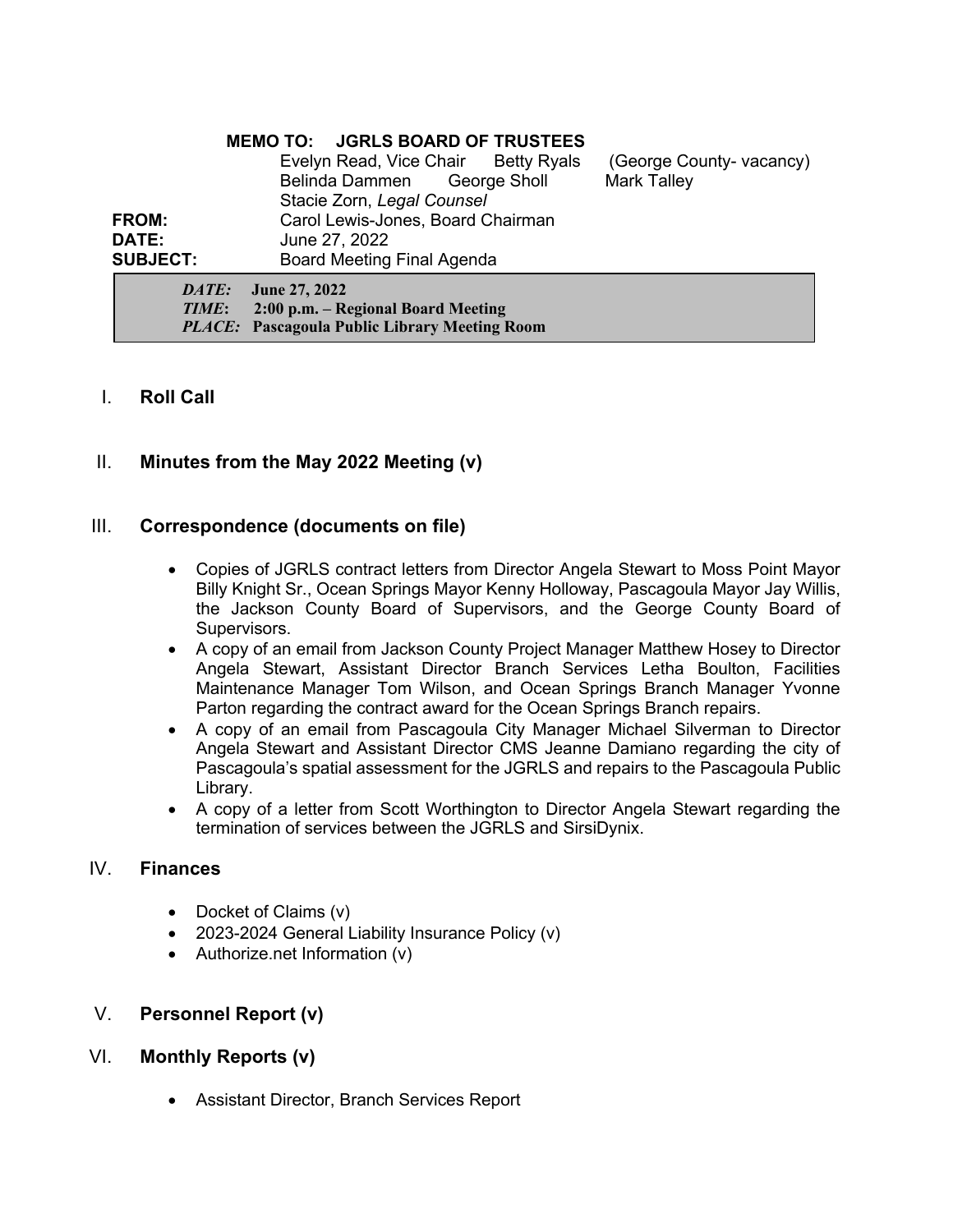### **MEMO TO: JGRLS BOARD OF TRUSTEES**

| DATE:           | <b>June 27, 2022</b>                |  |                          |
|-----------------|-------------------------------------|--|--------------------------|
| <b>SUBJECT:</b> | Board Meeting Final Agenda          |  |                          |
| <b>DATE:</b>    | June 27, 2022                       |  |                          |
| <b>FROM:</b>    | Carol Lewis-Jones, Board Chairman   |  |                          |
|                 | Stacie Zorn, Legal Counsel          |  |                          |
|                 | Belinda Dammen George Sholl         |  | <b>Mark Talley</b>       |
|                 | Evelyn Read, Vice Chair Betty Ryals |  | (George County- vacancy) |

*TIME***: 2:00 p.m. – Regional Board Meeting** *PLACE:* **Pascagoula Public Library Meeting Room**

# I. **Roll Call**

# II. **Minutes from the May 2022 Meeting (v)**

### III. **Correspondence (documents on file)**

- Copies of JGRLS contract letters from Director Angela Stewart to Moss Point Mayor Billy Knight Sr., Ocean Springs Mayor Kenny Holloway, Pascagoula Mayor Jay Willis, the Jackson County Board of Supervisors, and the George County Board of Supervisors.
- A copy of an email from Jackson County Project Manager Matthew Hosey to Director Angela Stewart, Assistant Director Branch Services Letha Boulton, Facilities Maintenance Manager Tom Wilson, and Ocean Springs Branch Manager Yvonne Parton regarding the contract award for the Ocean Springs Branch repairs.
- A copy of an email from Pascagoula City Manager Michael Silverman to Director Angela Stewart and Assistant Director CMS Jeanne Damiano regarding the city of Pascagoula's spatial assessment for the JGRLS and repairs to the Pascagoula Public Library.
- A copy of a letter from Scott Worthington to Director Angela Stewart regarding the termination of services between the JGRLS and SirsiDynix.

## IV. **Finances**

- Docket of Claims (v)
- 2023-2024 General Liability Insurance Policy (v)
- Authorize.net Information (v)

### V. **Personnel Report (v)**

- VI. **Monthly Reports (v)**
	- Assistant Director, Branch Services Report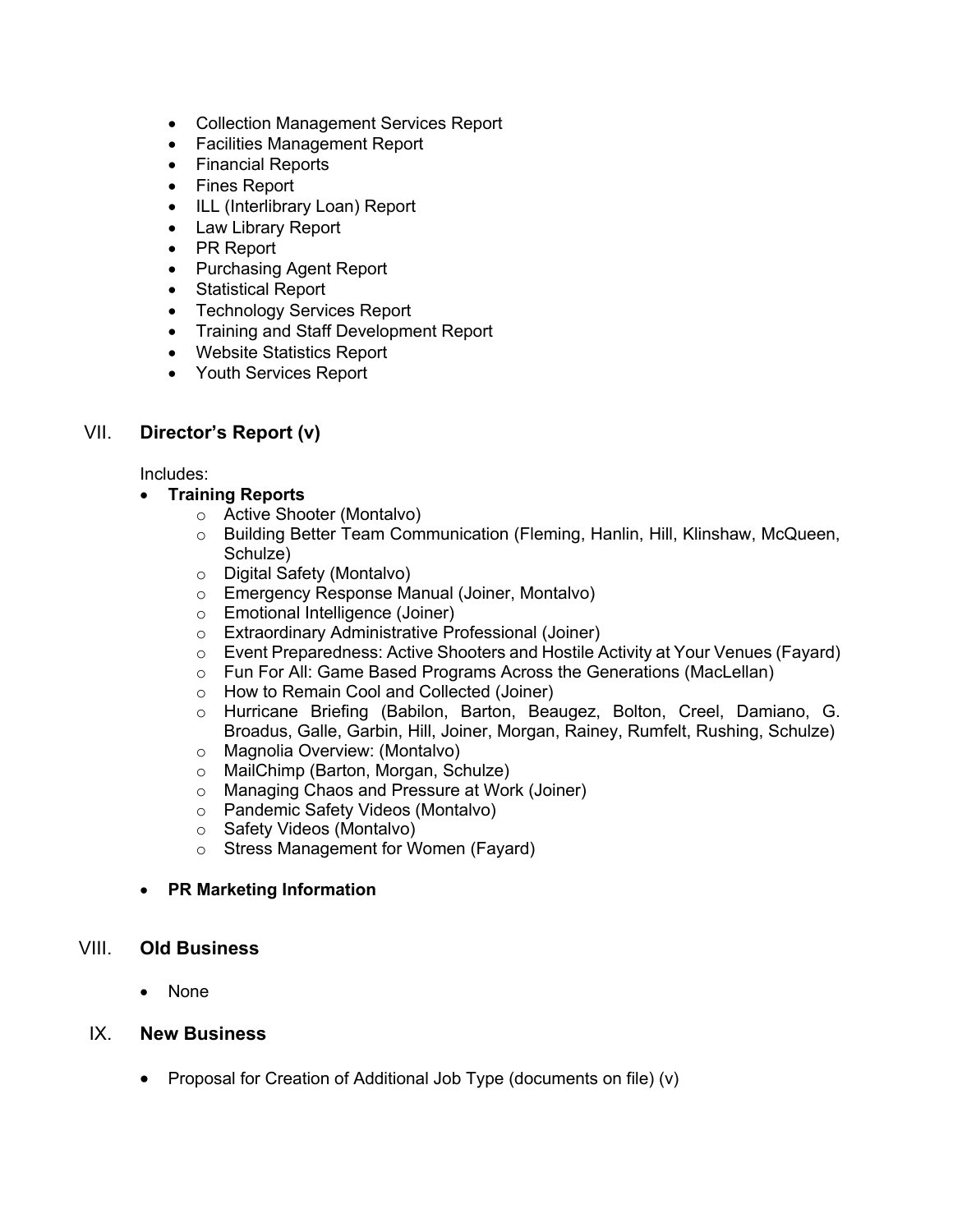- Collection Management Services Report
- Facilities Management Report
- Financial Reports
- Fines Report
- ILL (Interlibrary Loan) Report
- Law Library Report
- PR Report
- Purchasing Agent Report
- Statistical Report
- Technology Services Report
- Training and Staff Development Report
- Website Statistics Report
- Youth Services Report

# VII. **Director's Report (v)**

Includes:

# • **Training Reports**

- o Active Shooter (Montalvo)
- o Building Better Team Communication (Fleming, Hanlin, Hill, Klinshaw, McQueen, Schulze)
- o Digital Safety (Montalvo)
- o Emergency Response Manual (Joiner, Montalvo)
- o Emotional Intelligence (Joiner)
- o Extraordinary Administrative Professional (Joiner)
- o Event Preparedness: Active Shooters and Hostile Activity at Your Venues (Fayard)
- o Fun For All: Game Based Programs Across the Generations (MacLellan)
- o How to Remain Cool and Collected (Joiner)
- o Hurricane Briefing (Babilon, Barton, Beaugez, Bolton, Creel, Damiano, G. Broadus, Galle, Garbin, Hill, Joiner, Morgan, Rainey, Rumfelt, Rushing, Schulze)
- o Magnolia Overview: (Montalvo)
- o MailChimp (Barton, Morgan, Schulze)
- o Managing Chaos and Pressure at Work (Joiner)
- o Pandemic Safety Videos (Montalvo)
- o Safety Videos (Montalvo)
- o Stress Management for Women (Fayard)
- **PR Marketing Information**

# VIII. **Old Business**

• None

# IX. **New Business**

• Proposal for Creation of Additional Job Type (documents on file) (v)